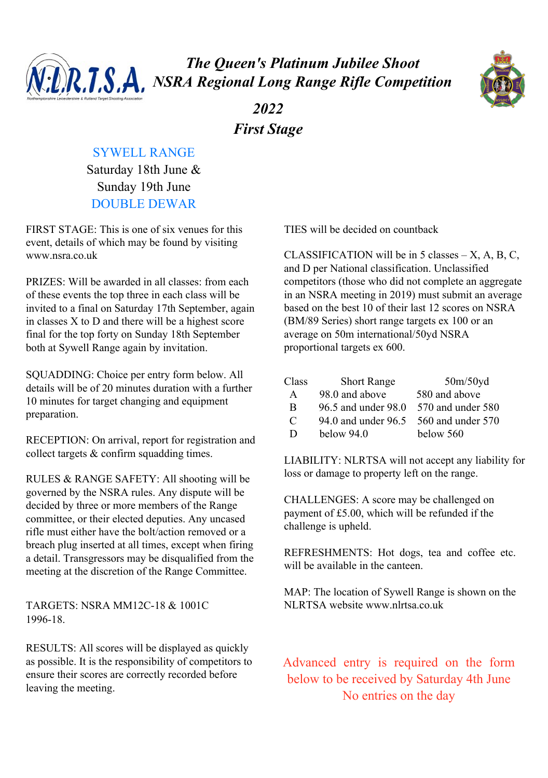

*The Queen's Platinum Jubilee Shoot NSRA Regional Long Range Rifle Competition*



*2022 First Stage*

## SYWELL RANGE

Saturday 18th June & Sunday 19th June DOUBLE DEWAR

FIRST STAGE: This is one of six venues for this event, details of which may be found by visiting www.nsra.co.uk

PRIZES: Will be awarded in all classes: from each of these events the top three in each class will be invited to a final on Saturday 17th September, again in classes X to D and there will be a highest score final for the top forty on Sunday 18th September both at Sywell Range again by invitation.

SQUADDING: Choice per entry form below. All details will be of 20 minutes duration with a further 10 minutes for target changing and equipment preparation.

RECEPTION: On arrival, report for registration and collect targets & confirm squadding times.

RULES & RANGE SAFETY: All shooting will be governed by the NSRA rules. Any dispute will be decided by three or more members of the Range committee, or their elected deputies. Any uncased rifle must either have the bolt/action removed or a breach plug inserted at all times, except when firing a detail. Transgressors may be disqualified from the meeting at the discretion of the Range Committee.

TARGETS: NSRA MM12C-18 & 1001C 1996-18.

RESULTS: All scores will be displayed as quickly as possible. It is the responsibility of competitors to ensure their scores are correctly recorded before leaving the meeting.

TIES will be decided on countback

CLASSIFICATION will be in 5 classes  $- X$ , A, B, C, and D per National classification. Unclassified competitors (those who did not complete an aggregate in an NSRA meeting in 2019) must submit an average based on the best 10 of their last 12 scores on NSRA (BM/89 Series) short range targets ex 100 or an average on 50m international/50yd NSRA proportional targets ex 600.

| Class | <b>Short Range</b>  | 50m/50yd          |
|-------|---------------------|-------------------|
| A     | 98.0 and above      | 580 and above     |
| B     | 96.5 and under 98.0 | 570 and under 580 |
| C     | 94.0 and under 96.5 | 560 and under 570 |
| D     | below $94.0$        | below 560         |

LIABILITY: NLRTSA will not accept any liability for loss or damage to property left on the range.

CHALLENGES: A score may be challenged on payment of £5.00, which will be refunded if the challenge is upheld.

REFRESHMENTS: Hot dogs, tea and coffee etc. will be available in the canteen.

MAP: The location of Sywell Range is shown on the NLRTSA website www.nlrtsa.co.uk

Advanced entry is required on the form below to be received by Saturday 4th June No entries on the day